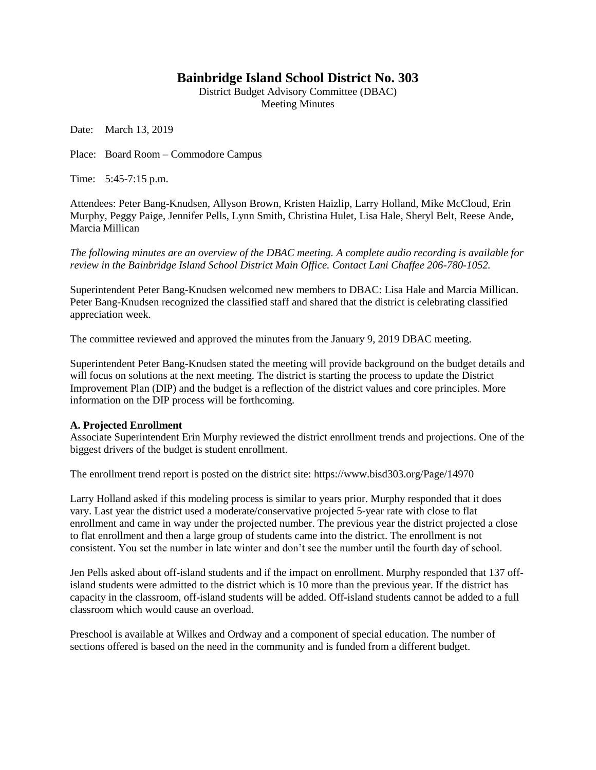## **Bainbridge Island School District No. 303**

District Budget Advisory Committee (DBAC) Meeting Minutes

Date: March 13, 2019

Place: Board Room – Commodore Campus

Time: 5:45-7:15 p.m.

Attendees: Peter Bang-Knudsen, Allyson Brown, Kristen Haizlip, Larry Holland, Mike McCloud, Erin Murphy, Peggy Paige, Jennifer Pells, Lynn Smith, Christina Hulet, Lisa Hale, Sheryl Belt, Reese Ande, Marcia Millican

*The following minutes are an overview of the DBAC meeting. A complete audio recording is available for review in the Bainbridge Island School District Main Office. Contact Lani Chaffee 206-780-1052.*

Superintendent Peter Bang-Knudsen welcomed new members to DBAC: Lisa Hale and Marcia Millican. Peter Bang-Knudsen recognized the classified staff and shared that the district is celebrating classified appreciation week.

The committee reviewed and approved the minutes from the January 9, 2019 DBAC meeting.

Superintendent Peter Bang-Knudsen stated the meeting will provide background on the budget details and will focus on solutions at the next meeting. The district is starting the process to update the District Improvement Plan (DIP) and the budget is a reflection of the district values and core principles. More information on the DIP process will be forthcoming.

## **A. Projected Enrollment**

Associate Superintendent Erin Murphy reviewed the district enrollment trends and projections. One of the biggest drivers of the budget is student enrollment.

The enrollment trend report is posted on the district site: https://www.bisd303.org/Page/14970

Larry Holland asked if this modeling process is similar to years prior. Murphy responded that it does vary. Last year the district used a moderate/conservative projected 5-year rate with close to flat enrollment and came in way under the projected number. The previous year the district projected a close to flat enrollment and then a large group of students came into the district. The enrollment is not consistent. You set the number in late winter and don't see the number until the fourth day of school.

Jen Pells asked about off-island students and if the impact on enrollment. Murphy responded that 137 offisland students were admitted to the district which is 10 more than the previous year. If the district has capacity in the classroom, off-island students will be added. Off-island students cannot be added to a full classroom which would cause an overload.

Preschool is available at Wilkes and Ordway and a component of special education. The number of sections offered is based on the need in the community and is funded from a different budget.